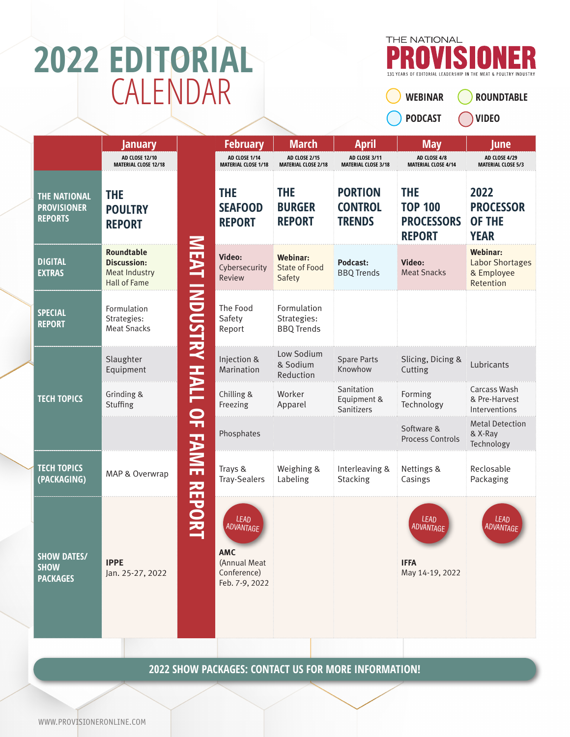## **2022 EDITORIAL** CALENDAR



**WEBINAR** 

**PODCAST** 

**ROUNDTABLE VIDEO** 

|                                                             | January                                                                                |                                   | <b>February</b>                                                                         | <b>March</b>                                    | <b>April</b>                                      | <b>May</b>                                                         | <b>June</b>                                                          |
|-------------------------------------------------------------|----------------------------------------------------------------------------------------|-----------------------------------|-----------------------------------------------------------------------------------------|-------------------------------------------------|---------------------------------------------------|--------------------------------------------------------------------|----------------------------------------------------------------------|
|                                                             | <b>AD CLOSE 12/10</b><br><b>MATERIAL CLOSE 12/18</b>                                   |                                   | AD CLOSE 1/14<br><b>MATERIAL CLOSE 1/18</b>                                             | AD CLOSE 2/15<br><b>MATERIAL CLOSE 2/18</b>     | AD CLOSE 3/11<br><b>MATERIAL CLOSE 3/18</b>       | AD CLOSE 4/8<br><b>MATERIAL CLOSE 4/14</b>                         | AD CLOSE 4/29<br><b>MATERIAL CLOSE 5/3</b>                           |
| <b>THE NATIONAL</b><br><b>PROVISIONER</b><br><b>REPORTS</b> | <b>THE</b><br><b>POULTRY</b><br><b>REPORT</b>                                          |                                   | <b>THE</b><br><b>SEAFOOD</b><br><b>REPORT</b>                                           | <b>THE</b><br><b>BURGER</b><br><b>REPORT</b>    | <b>PORTION</b><br><b>CONTROL</b><br><b>TRENDS</b> | <b>THE</b><br><b>TOP 100</b><br><b>PROCESSORS</b><br><b>REPORT</b> | 2022<br><b>PROCESSOR</b><br><b>OF THE</b><br><b>YEAR</b>             |
| <b>DIGITAL</b><br><b>EXTRAS</b>                             | <b>Roundtable</b><br><b>Discussion:</b><br><b>Meat Industry</b><br><b>Hall of Fame</b> |                                   | Video:<br>Cybersecurity<br>Review                                                       | Webinar:<br><b>State of Food</b><br>Safety      | Podcast:<br><b>BBQ Trends</b>                     | Video:<br><b>Meat Snacks</b>                                       | <b>Webinar:</b><br><b>Labor Shortages</b><br>& Employee<br>Retention |
| <b>SPECIAL</b><br><b>REPORT</b>                             | Formulation<br>Strategies:<br><b>Meat Snacks</b>                                       | <b>MEAT INDUSTRY HALL OF FAME</b> | The Food<br>Safety<br>Report                                                            | Formulation<br>Strategies:<br><b>BBQ Trends</b> |                                                   |                                                                    |                                                                      |
|                                                             | Slaughter<br>Equipment                                                                 |                                   | Injection &<br>Marination                                                               | Low Sodium<br>& Sodium<br>Reduction             | <b>Spare Parts</b><br>Knowhow                     | Slicing, Dicing &<br>Cutting                                       | Lubricants                                                           |
| <b>TECH TOPICS</b>                                          | Grinding &<br>Stuffing                                                                 |                                   | Chilling &<br>Freezing                                                                  | Worker<br>Apparel                               | Sanitation<br>Equipment &<br>Sanitizers           | Forming<br>Technology                                              | Carcass Wash<br>& Pre-Harvest<br>Interventions                       |
|                                                             |                                                                                        |                                   | Phosphates                                                                              |                                                 |                                                   | Software &<br><b>Process Controls</b>                              | <b>Metal Detection</b><br>& X-Ray<br>Technology                      |
| <b>TECH TOPICS</b><br>(PACKAGING)                           | MAP & Overwrap                                                                         |                                   | Trays &<br><b>Tray-Sealers</b>                                                          | Weighing &<br>Labeling                          | Interleaving &<br>Stacking                        | Nettings &<br>Casings                                              | Reclosable<br>Packaging                                              |
| <b>SHOW DATES/</b><br><b>SHOW</b><br><b>PACKAGES</b>        | <b>IPPE</b><br>Jan. 25-27, 2022                                                        | <b>REPORT</b>                     | <b>LEAD</b><br>ADVANTAGF<br><b>AMC</b><br>(Annual Meat<br>Conference)<br>Feb. 7-9, 2022 |                                                 |                                                   | LEAD<br>ADVANTAGF<br><b>IFFA</b><br>May 14-19, 2022                | LEAD<br><b>ADVANTAGE</b>                                             |

**2022 SHOW PACKAGES: CONTACT US FOR MORE INFORMATION!**